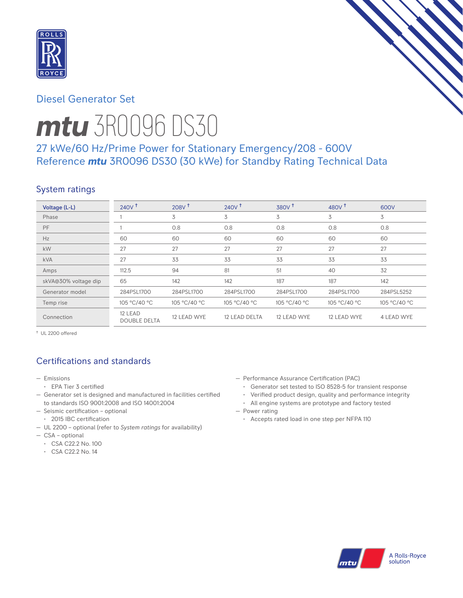

# Diesel Generator Set



# *mtu* 3R0096 DS30

# 27 kWe/60 Hz/Prime Power for Stationary Emergency/208 - 600V Reference *mtu* 3R0096 DS30 (30 kWe) for Standby Rating Technical Data

# System ratings

| Voltage (L-L)        | 240V <sup>†</sup>              | 208V <sup>†</sup> | $240V^{\dagger}$ | 380V <sup>†</sup> | 480 $V†$     | 600V         |
|----------------------|--------------------------------|-------------------|------------------|-------------------|--------------|--------------|
| Phase                |                                | 3                 | 3                | 3                 | 3            | 3            |
| PF                   |                                | 0.8               | 0.8              | 0.8               | 0.8          | 0.8          |
| Hz                   | 60                             | 60                | 60               | 60                | 60           | 60           |
| kW                   | 27                             | 27                | 27               | 27                | 27           | 27           |
| <b>kVA</b>           | 27                             | 33                | 33               | 33                | 33           | 33           |
| Amps                 | 112.5                          | 94                | 81               | 51                | 40           | 32           |
| skVA@30% voltage dip | 65                             | 142               | 142              | 187               | 187          | 142          |
| Generator model      | 284PSL1700                     | 284PSL1700        | 284PSL1700       | 284PSL1700        | 284PSL1700   | 284PSL5252   |
| Temp rise            | 105 °C/40 °C                   | 105 °C/40 °C      | 105 °C/40 °C     | 105 °C/40 °C      | 105 °C/40 °C | 105 °C/40 °C |
| Connection           | 12 LEAD<br><b>DOUBLE DELTA</b> | 12 LEAD WYE       | 12 LEAD DELTA    | 12 LEAD WYE       | 12 LEAD WYE  | 4 LEAD WYE   |

† UL 2200 offered

# Certifications and standards

- Emissions
- EPA Tier 3 certified
- Generator set is designed and manufactured in facilities certified to standards ISO 9001:2008 and ISO 14001:2004
- Seismic certification optional
- 2015 IBC certification
- UL 2200 optional (refer to *System ratings* for availability)
- CSA optional
- CSA C22.2 No. 100
- CSA C22.2 No. 14
- Performance Assurance Certification (PAC)
	- Generator set tested to ISO 8528-5 for transient response
	- Verified product design, quality and performance integrity
	- All engine systems are prototype and factory tested
- Power rating
	- Accepts rated load in one step per NFPA 110

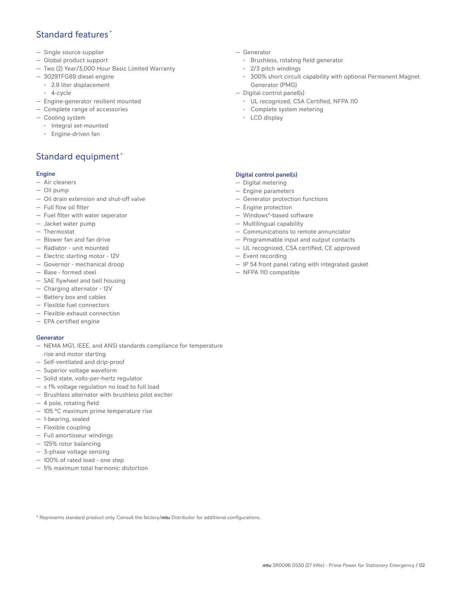## Standard features \*

- Single source supplier
- Global product support
- Two (2) Year/3,000 Hour Basic Limited Warranty
- 3029TFG89 diesel engine
	- 2.9 liter displacement
	- 4-cycle
- Engine-generator resilient mounted
- Complete range of accessories
- Cooling system
	- Integral set-mounted
	- Engine-driven fan

# Standard equipment \*

#### Engine

- Air cleaners
- Oil pump
- Oil drain extension and shut-off valve
- Full flow oil filter
- Fuel filter with water seperator
- Jacket water pump
- Thermostat
- Blower fan and fan drive
- Radiator unit mounted
- Electric starting motor 12V
- Governor mechanical droop
- Base formed steel
- SAE flywheel and bell housing
- Charging alternator 12V
- Battery box and cables
- Flexible fuel connectors
- Flexible exhaust connection
- EPA certified engine

#### Generator

- NEMA MG1, IEEE, and ANSI standards compliance for temperature rise and motor starting
- Self-ventilated and drip-proof
- Superior voltage waveform
- Solid state, volts-per-hertz regulator
- $\pm$  1% voltage regulation no load to full load
- Brushless alternator with brushless pilot exciter
- 4 pole, rotating field
- 105 °C maximum prime temperature rise
- 1-bearing, sealed
- Flexible coupling
- Full amortisseur windings
- 125% rotor balancing
- 3-phase voltage sensing
- 100% of rated load one step
- 5% maximum total harmonic distortion
- Generator
	- Brushless, rotating field generator
	- 2/3 pitch windings
	- 300% short circuit capability with optional Permanent Magnet Generator (PMG)
- Digital control panel(s)
	- UL recognized, CSA Certified, NFPA 110
	- Complete system metering
	- LCD display

## Digital control panel(s)

- Digital metering
- Engine parameters
- Generator protection functions
- Engine protection
- Windows®-based software
- Multilingual capability
- Communications to remote annunciator
- Programmable input and output contacts
- UL recognized, CSA certified, CE approved
- Event recording
- IP 54 front panel rating with integrated gasket
- NFPA 110 compatible

\* Represents standard product only. Consult the factory/*mtu* Distributor for additional configurations.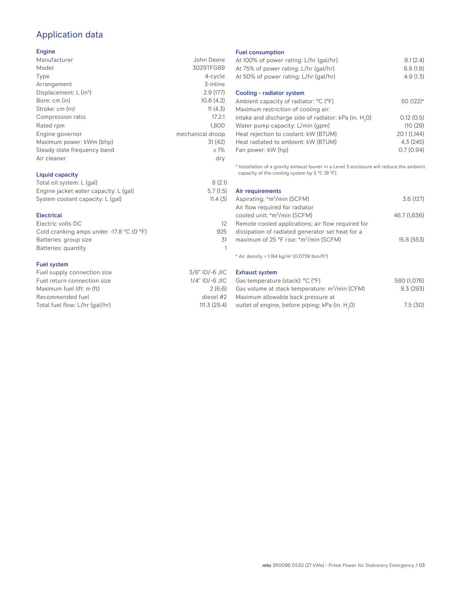# Application data

### Engine

| Manufacturer                       | John Deere       |
|------------------------------------|------------------|
| Model                              | 3029TFG89        |
| Type                               | 4-cycle          |
| Arrangement                        | 3-inline         |
| Displacement: L (in <sup>3</sup> ) | 2.9(177)         |
| Bore: cm (in)                      | 10.6(4.2)        |
| Stroke: cm (in)                    | 11(4.3)          |
| Compression ratio                  | 17.2:1           |
| Rated rpm                          | 1.800            |
| Engine governor                    | mechanical droop |
| Maximum power: kWm (bhp)           | 31(42)           |
| Steady state frequency band        | ±1%              |
| Air cleaner                        | dry              |
|                                    |                  |

## Liquid capacity

| Total oil system: L (gal)             | 8(2.1)   |
|---------------------------------------|----------|
| Engine jacket water capacity: L (gal) | 5.7(1.5) |
| System coolant capacity: L (gal)      | 11.4(3)  |

#### **Electrical**

| Electric volts DC                                            |     |
|--------------------------------------------------------------|-----|
| Cold cranking amps under -17.8 $^{\circ}$ C (O $^{\circ}$ F) | 925 |
| Batteries: group size                                        | .31 |
| Batteries: quantity                                          |     |
|                                                              |     |

#### Fuel system

| Fuel supply connection size    | 3/8" ID/-6 JIC    |
|--------------------------------|-------------------|
| Fuel return connection size    | $1/4$ " ID/-6 JIC |
| Maximum fuel lift: m (ft)      | 2(6.6)            |
| Recommended fuel               | diesel #2         |
| Total fuel flow: L/hr (gal/hr) | 111.3(29.4)       |

#### Fuel consumption

| At 100% of power rating: L/hr (gal/hr)<br>At 75% of power rating: L/hr (gal/hr)<br>At 50% of power rating: L/hr (gal/hr) | 9.1(2.4)<br>6.8(1.8)<br>4.9(1.3) |
|--------------------------------------------------------------------------------------------------------------------------|----------------------------------|
| Cooling - radiator system                                                                                                |                                  |
| Ambient capacity of radiator: °C (°F)                                                                                    | 50 (122)*                        |
| Maximum restriction of cooling air:                                                                                      |                                  |
| intake and discharge side of radiator: kPa (in. H <sub>2</sub> 0)                                                        | 0.12(0.5)                        |
| Water pump capacity: L/min (gpm)                                                                                         | 110(29)                          |
| Heat rejection to coolant: kW (BTUM)                                                                                     | 20.1 (1,144)                     |
| Heat radiated to ambient: kW (BTUM)                                                                                      | 4.3(245)                         |
| Fan power: kW (hp)                                                                                                       | 0.7(0.94)                        |
|                                                                                                                          |                                  |

\* Installation of a gravity exhaust louver in a Level 3 enclosure will reduce the ambient capacity of the cooling system by 5 °C (9 °F).

| Air requirements                                   |              |
|----------------------------------------------------|--------------|
| Aspirating: *m <sup>3</sup> /min (SCFM)            | 3.6(127)     |
| Air flow required for radiator                     |              |
| cooled unit: *m <sup>3</sup> /min (SCFM)           | 46.7 (1,636) |
| Remote cooled applications; air flow required for  |              |
| dissipation of radiated generator set heat for a   |              |
| maximum of 25 °F rise: *m <sup>3</sup> /min (SCFM) | 15.8 (553)   |
|                                                    |              |

 $*$  Air density = 1.184 kg/m<sup>3</sup> (0.0739 lbm/ft<sup>3</sup>)

Exhaust system

| Gas temperature (stack): °C (°F)                            | 580 (1,076) |
|-------------------------------------------------------------|-------------|
| Gas volume at stack temperature: m <sup>3</sup> /min (CFM)  | 8.3(293)    |
| Maximum allowable back pressure at                          |             |
| outlet of engine, before piping: kPa (in. H <sub>2</sub> O) | 7.5(30)     |